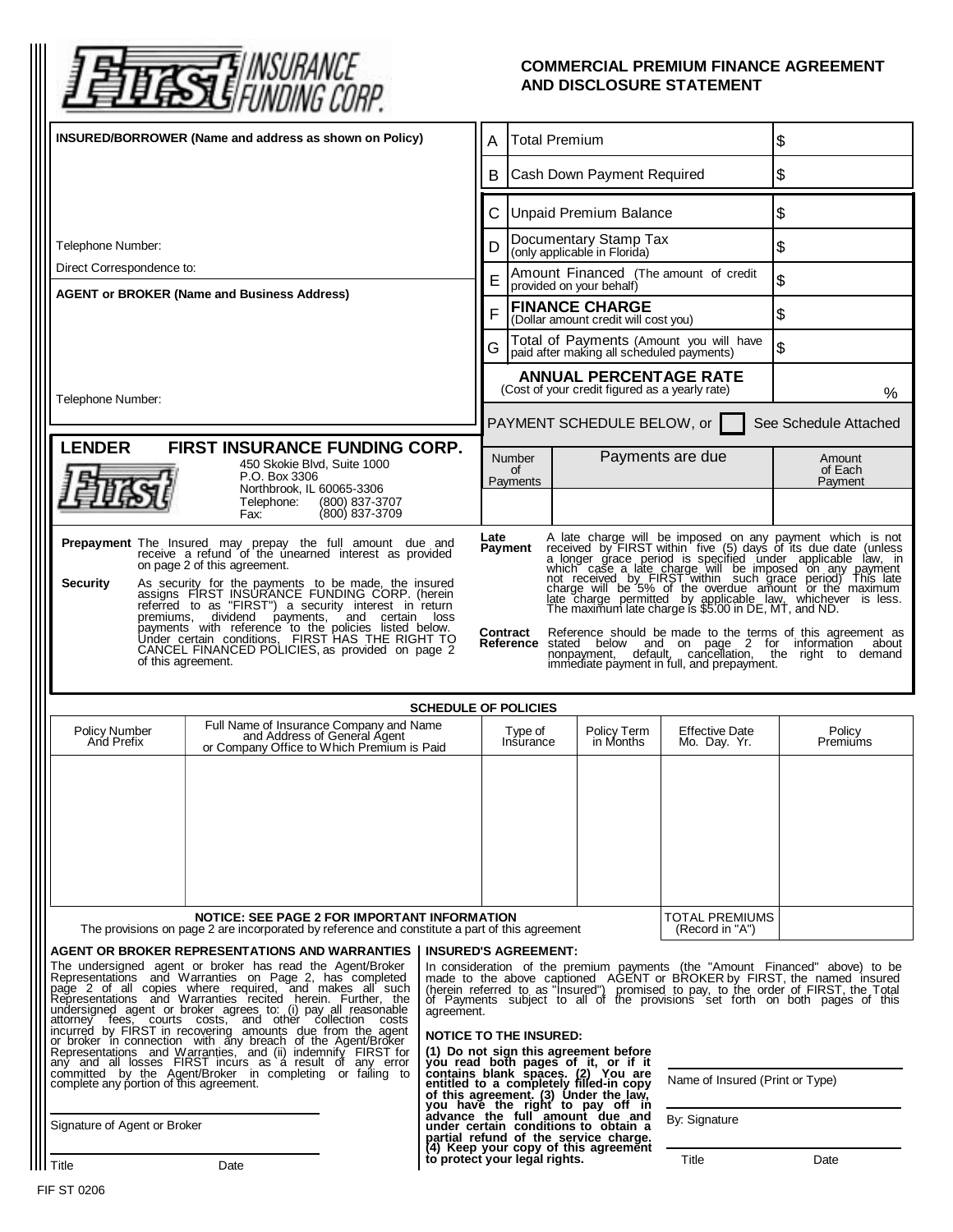

## **COMMERCIAL PREMIUM FINANCE AGREEMENT AND DISCLOSURE STATEMENT**

| INSURED/BORROWER (Name and address as shown on Policy)                                                                                                                                                                                                                                                                                                                                                                                                                                                                                                                                                                                                                                                                                                                                                                                                                                                                                                                                                                                                                                                                       |                                                                                                                       |                                                                                           | <b>Total Premium</b><br>Α                                                       |                                                                                                                                                                                                                                                                                                                                                                                                                                                                                                                                                                                                                                                                                                                                                          |                                                                               |                                       | \$                 |  |
|------------------------------------------------------------------------------------------------------------------------------------------------------------------------------------------------------------------------------------------------------------------------------------------------------------------------------------------------------------------------------------------------------------------------------------------------------------------------------------------------------------------------------------------------------------------------------------------------------------------------------------------------------------------------------------------------------------------------------------------------------------------------------------------------------------------------------------------------------------------------------------------------------------------------------------------------------------------------------------------------------------------------------------------------------------------------------------------------------------------------------|-----------------------------------------------------------------------------------------------------------------------|-------------------------------------------------------------------------------------------|---------------------------------------------------------------------------------|----------------------------------------------------------------------------------------------------------------------------------------------------------------------------------------------------------------------------------------------------------------------------------------------------------------------------------------------------------------------------------------------------------------------------------------------------------------------------------------------------------------------------------------------------------------------------------------------------------------------------------------------------------------------------------------------------------------------------------------------------------|-------------------------------------------------------------------------------|---------------------------------------|--------------------|--|
|                                                                                                                                                                                                                                                                                                                                                                                                                                                                                                                                                                                                                                                                                                                                                                                                                                                                                                                                                                                                                                                                                                                              |                                                                                                                       |                                                                                           | Cash Down Payment Required<br>B                                                 |                                                                                                                                                                                                                                                                                                                                                                                                                                                                                                                                                                                                                                                                                                                                                          |                                                                               | \$                                    |                    |  |
|                                                                                                                                                                                                                                                                                                                                                                                                                                                                                                                                                                                                                                                                                                                                                                                                                                                                                                                                                                                                                                                                                                                              |                                                                                                                       |                                                                                           | <b>Unpaid Premium Balance</b><br>C                                              |                                                                                                                                                                                                                                                                                                                                                                                                                                                                                                                                                                                                                                                                                                                                                          |                                                                               |                                       | \$                 |  |
| Telephone Number:                                                                                                                                                                                                                                                                                                                                                                                                                                                                                                                                                                                                                                                                                                                                                                                                                                                                                                                                                                                                                                                                                                            |                                                                                                                       |                                                                                           | Documentary Stamp Tax<br>D<br>(only applicable in Florida)                      |                                                                                                                                                                                                                                                                                                                                                                                                                                                                                                                                                                                                                                                                                                                                                          |                                                                               |                                       | \$                 |  |
| Direct Correspondence to:                                                                                                                                                                                                                                                                                                                                                                                                                                                                                                                                                                                                                                                                                                                                                                                                                                                                                                                                                                                                                                                                                                    |                                                                                                                       |                                                                                           | Amount Financed (The amount of credit<br>E<br>provided on your behalf)          |                                                                                                                                                                                                                                                                                                                                                                                                                                                                                                                                                                                                                                                                                                                                                          |                                                                               |                                       | \$                 |  |
| <b>AGENT or BROKER (Name and Business Address)</b>                                                                                                                                                                                                                                                                                                                                                                                                                                                                                                                                                                                                                                                                                                                                                                                                                                                                                                                                                                                                                                                                           |                                                                                                                       |                                                                                           | <b>FINANCE CHARGE</b><br>F<br>(Dollar amount credit will cost you)              |                                                                                                                                                                                                                                                                                                                                                                                                                                                                                                                                                                                                                                                                                                                                                          |                                                                               |                                       | \$                 |  |
|                                                                                                                                                                                                                                                                                                                                                                                                                                                                                                                                                                                                                                                                                                                                                                                                                                                                                                                                                                                                                                                                                                                              |                                                                                                                       | Total of Payments (Amount you will have<br>paid after making all scheduled payments)<br>G |                                                                                 |                                                                                                                                                                                                                                                                                                                                                                                                                                                                                                                                                                                                                                                                                                                                                          |                                                                               |                                       | \$                 |  |
|                                                                                                                                                                                                                                                                                                                                                                                                                                                                                                                                                                                                                                                                                                                                                                                                                                                                                                                                                                                                                                                                                                                              |                                                                                                                       |                                                                                           | <b>ANNUAL PERCENTAGE RATE</b><br>(Cost of your credit figured as a yearly rate) |                                                                                                                                                                                                                                                                                                                                                                                                                                                                                                                                                                                                                                                                                                                                                          |                                                                               |                                       | %                  |  |
| Telephone Number:                                                                                                                                                                                                                                                                                                                                                                                                                                                                                                                                                                                                                                                                                                                                                                                                                                                                                                                                                                                                                                                                                                            |                                                                                                                       |                                                                                           | See Schedule Attached<br>PAYMENT SCHEDULE BELOW, or                             |                                                                                                                                                                                                                                                                                                                                                                                                                                                                                                                                                                                                                                                                                                                                                          |                                                                               |                                       |                    |  |
| <b>LENDER</b><br><b>FIRST INSURANCE FUNDING CORP.</b>                                                                                                                                                                                                                                                                                                                                                                                                                                                                                                                                                                                                                                                                                                                                                                                                                                                                                                                                                                                                                                                                        |                                                                                                                       |                                                                                           |                                                                                 | <b>Number</b>                                                                                                                                                                                                                                                                                                                                                                                                                                                                                                                                                                                                                                                                                                                                            |                                                                               | Payments are due                      | Amount             |  |
| 450 Skokie Blvd, Suite 1000<br>P.O. Box 3306<br>Northbrook, IL 60065-3306                                                                                                                                                                                                                                                                                                                                                                                                                                                                                                                                                                                                                                                                                                                                                                                                                                                                                                                                                                                                                                                    |                                                                                                                       |                                                                                           |                                                                                 | of<br>Payments                                                                                                                                                                                                                                                                                                                                                                                                                                                                                                                                                                                                                                                                                                                                           |                                                                               |                                       | of Each<br>Payment |  |
|                                                                                                                                                                                                                                                                                                                                                                                                                                                                                                                                                                                                                                                                                                                                                                                                                                                                                                                                                                                                                                                                                                                              | Telephone:<br>(800) 837-3707<br>(800) 837-3709<br>Fax:                                                                |                                                                                           |                                                                                 |                                                                                                                                                                                                                                                                                                                                                                                                                                                                                                                                                                                                                                                                                                                                                          |                                                                               |                                       |                    |  |
| Late<br>A late charge will be imposed on any payment which is not<br>Prepayment The Insured may prepay the full amount due and<br>receive a refund of the unearned interest as provided<br>A late charge will be linguised on any payment which is not<br>a longer grace period is specified under applicable law, in<br>which case a late charge will be imposed on any payment<br>not received by FIRST within such grace period<br><b>Payment</b><br>on page 2 of this agreement.<br><b>Security</b><br>As security for the payments to be made, the insured assigns FIRST INSURANCE FUNDING CORP. (herein<br>referred to as "FIRST") a security interest in return<br>dividend payments, and certain<br>premiums,<br>loss<br>payments' with reference to the policies listed below.<br>Under certain conditions, FIRST HAS THE RIGHT TO<br><b>Contract</b> Reference should be made to the terms of this agreement as<br>Reference stated below and on page 2 for information about<br>CANCEL FINANCED POLICIES, as provided on page 2<br>nonpayment, default, cancellation, the numeric to demand<br>of this agreement. |                                                                                                                       |                                                                                           |                                                                                 |                                                                                                                                                                                                                                                                                                                                                                                                                                                                                                                                                                                                                                                                                                                                                          |                                                                               |                                       |                    |  |
|                                                                                                                                                                                                                                                                                                                                                                                                                                                                                                                                                                                                                                                                                                                                                                                                                                                                                                                                                                                                                                                                                                                              |                                                                                                                       |                                                                                           |                                                                                 |                                                                                                                                                                                                                                                                                                                                                                                                                                                                                                                                                                                                                                                                                                                                                          |                                                                               |                                       |                    |  |
| <b>SCHEDULE OF POLICIES</b>                                                                                                                                                                                                                                                                                                                                                                                                                                                                                                                                                                                                                                                                                                                                                                                                                                                                                                                                                                                                                                                                                                  |                                                                                                                       |                                                                                           |                                                                                 |                                                                                                                                                                                                                                                                                                                                                                                                                                                                                                                                                                                                                                                                                                                                                          |                                                                               |                                       |                    |  |
| Policy Number<br>And Prefix                                                                                                                                                                                                                                                                                                                                                                                                                                                                                                                                                                                                                                                                                                                                                                                                                                                                                                                                                                                                                                                                                                  | Full Name of Insurance Company and Name<br>and Address of General Agent<br>or Company Office to Which Premium is Paid |                                                                                           |                                                                                 | Type of<br>Insurance                                                                                                                                                                                                                                                                                                                                                                                                                                                                                                                                                                                                                                                                                                                                     | Policy Term<br>in Months                                                      | <b>Effective Date</b><br>Mo. Day. Yr. | Policy<br>Premiums |  |
|                                                                                                                                                                                                                                                                                                                                                                                                                                                                                                                                                                                                                                                                                                                                                                                                                                                                                                                                                                                                                                                                                                                              |                                                                                                                       |                                                                                           |                                                                                 |                                                                                                                                                                                                                                                                                                                                                                                                                                                                                                                                                                                                                                                                                                                                                          |                                                                               |                                       |                    |  |
| NOTICE: SEE PAGE 2 FOR IMPORTANT INFORMATION<br>The provisions on page 2 are incorporated by reference and constitute a part of this agreement                                                                                                                                                                                                                                                                                                                                                                                                                                                                                                                                                                                                                                                                                                                                                                                                                                                                                                                                                                               |                                                                                                                       |                                                                                           |                                                                                 |                                                                                                                                                                                                                                                                                                                                                                                                                                                                                                                                                                                                                                                                                                                                                          | TOTAL PREMIUMS<br>(Record in "A")                                             |                                       |                    |  |
| AGENT OR BROKER REPRESENTATIONS AND WARRANTIES<br>The undersigned agent or broker has read the Agent/Broker<br>Representations and Warranties on Page 2, has completed<br>page 2 of all copies where required, and makes all such<br>Representations and Warranties recited herein. Further, the<br>undersigned agent or broker agrees to: (i) pay all reasonable<br>attorney fees, courts costs, and other collection costs<br>incurred by FIRST in recovering amounts due from the agent<br>or broker in connection with any breach of the Agent/Broker<br>Representations and Warranties, and (ii) indemnify FIRST for<br>any and all losses FIRST incurs as a result of any error<br>committed by the Agent/Broker in completing or failing to<br>complete any portion of this agreement.                                                                                                                                                                                                                                                                                                                                |                                                                                                                       |                                                                                           |                                                                                 | <b>INSURED'S AGREEMENT:</b><br>In consideration of the premium payments (the "Amount Financed" above) to be<br>made to the above captioned. AGENT or BROKER by FIRST, the named insured (herein referred to as "Insured") promised to pay, to the order of FIRST, the Total of Payments subject to all of the provisions set forth on both pa<br>agreement.<br><b>NOTICE TO THE INSURED:</b><br>(1) Do not sign this agreement before<br>you read both pages of it, or if it<br>contains blank spaces. (2) You are<br>entitled to a completely filled-in copy<br>Name of Insured (Print or Type)<br>of this agreement. (3) Under the law,<br>you have the right to pay off in<br>advance the full amount due and<br>under certain conditions to obtain a |                                                                               |                                       |                    |  |
| Signature of Agent or Broker                                                                                                                                                                                                                                                                                                                                                                                                                                                                                                                                                                                                                                                                                                                                                                                                                                                                                                                                                                                                                                                                                                 |                                                                                                                       |                                                                                           |                                                                                 |                                                                                                                                                                                                                                                                                                                                                                                                                                                                                                                                                                                                                                                                                                                                                          | partial refund of the service charge.<br>(4) Keep your copy of this agreement | By: Signature                         |                    |  |
| Title                                                                                                                                                                                                                                                                                                                                                                                                                                                                                                                                                                                                                                                                                                                                                                                                                                                                                                                                                                                                                                                                                                                        | Date                                                                                                                  |                                                                                           |                                                                                 | to protect your legal rights.                                                                                                                                                                                                                                                                                                                                                                                                                                                                                                                                                                                                                                                                                                                            |                                                                               | Title                                 | Date               |  |